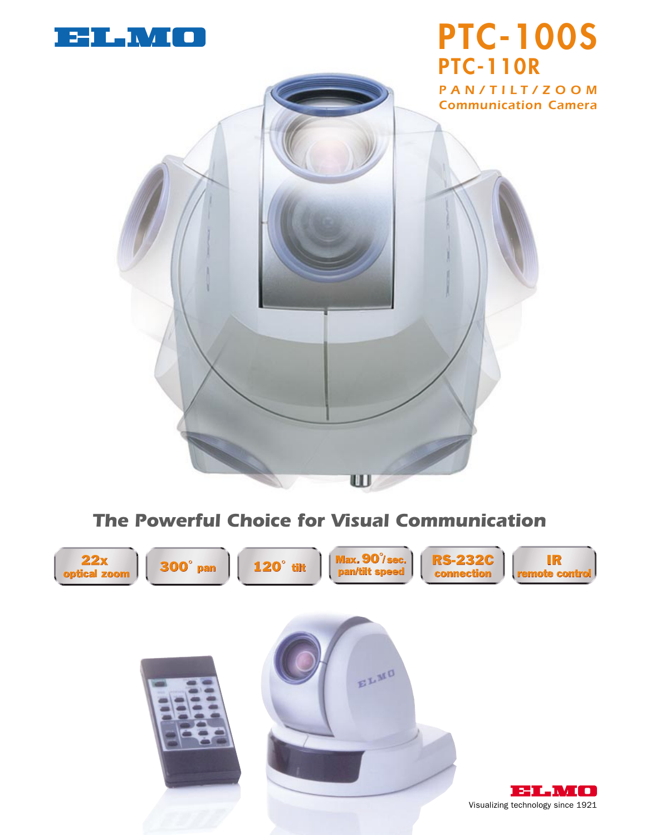

# **PTC-100S PTC-110R**





## *The Powerful Choice for Visual Communication*

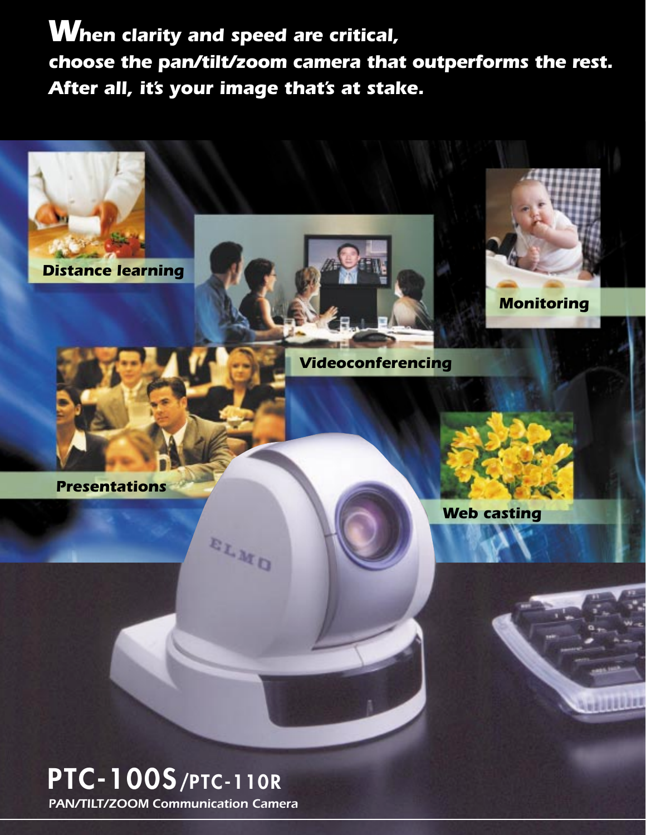*When clarity and speed are critical, choose the pan/tilt/zoom camera that outperforms the rest. After all, it's your image that's at stake.*



## *PAN/TILT/ZOOM Communication Camera*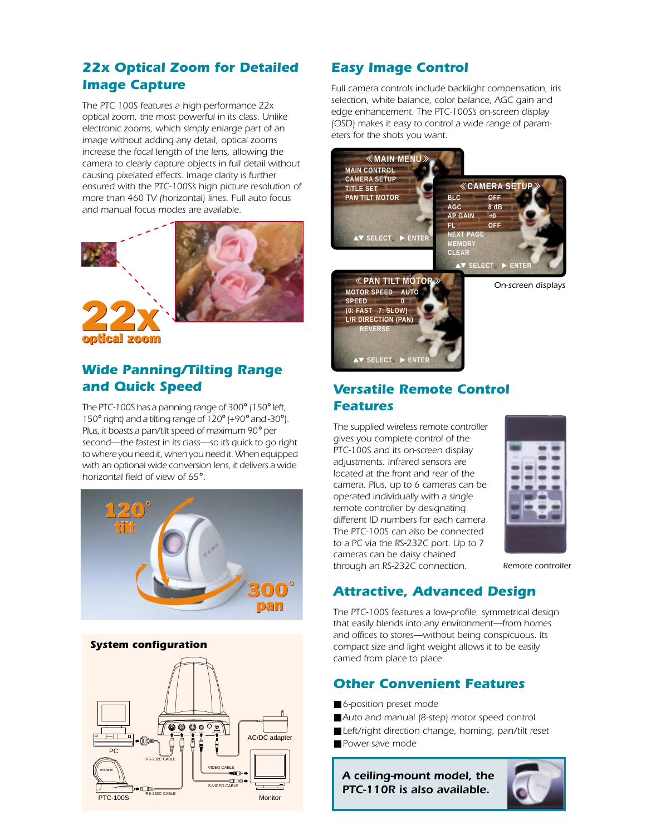## *22x Optical Zoom for Detailed Image Capture*

*The PTC-100S features a high-performance 22x optical zoom, the most powerful in its class. Unlike electronic zooms, which simply enlarge part of an image without adding any detail, optical zooms increase the focal length of the lens, allowing the camera to clearly capture objects in full detail without causing pixelated effects. Image clarity is further ensured with the PTC-100S's high picture resolution of more than 460 TV (horizontal) lines. Full auto focus and manual focus modes are available.*





optical zoom

## *Wide Panning/Tilting Range and Quick Speed*

*The PTC-100S has a panning range of 300*° *(150*° *left, 150*° *right) and a tilting range of 120*° *(+90*° *and -30*°*). Plus, it boasts a pan/tilt speed of maximum 90*° *per second—the fastest in its class—so it's quick to go right to where you need it, when you need it. When equipped with an optional wide conversion lens, it delivers a wide horizontal field of view of 65*°*.*



#### *System configuration*



## *Easy Image Control*

*Full camera controls include backlight compensation, iris selection, white balance, color balance, AGC gain and edge enhancement. The PTC-100S's on-screen display (OSD) makes it easy to control a wide range of parameters for the shots you want.*





## *Versatile Remote Control Features*

*The supplied wireless remote controller gives you complete control of the PTC-100S and its on-screen display adjustments. Infrared sensors are located at the front and rear of the camera. Plus, up to 6 cameras can be operated individually with a single remote controller by designating different ID numbers for each camera. The PTC-100S can also be connected to a PC via the RS-232C port. Up to 7 cameras can be daisy chained through an RS-232C connection.*



*Remote controller*

## *Attractive, Advanced Design*

*The PTC-100S features a low-profile, symmetrical design that easily blends into any environment—from homes and offices to stores—without being conspicuous. Its compact size and light weight allows it to be easily carried from place to place.*

### *Other Convenient Features*

- 6-position preset mode
- Auto and manual (8-step) motor speed control
- Left/right direction change, homing, pan/tilt reset
- Power-save mode

*A ceiling-mount model, the PTC-110R is also available.*